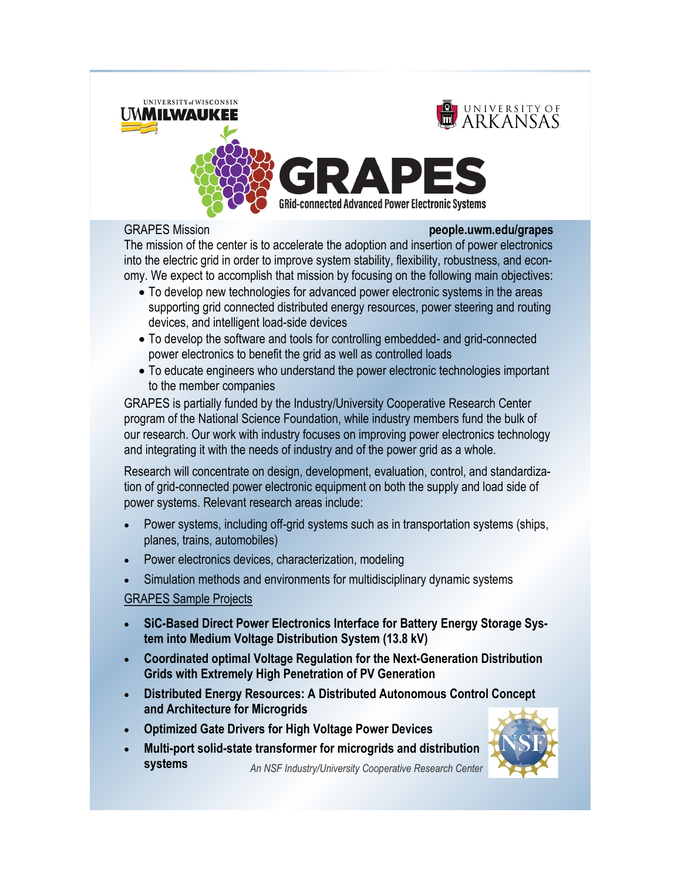

#### GRAPES Mission **people.uwm.edu/grapes**

The mission of the center is to accelerate the adoption and insertion of power electronics into the electric grid in order to improve system stability, flexibility, robustness, and economy. We expect to accomplish that mission by focusing on the following main objectives:

- To develop new technologies for advanced power electronic systems in the areas supporting grid connected distributed energy resources, power steering and routing devices, and intelligent load-side devices
- To develop the software and tools for controlling embedded- and grid-connected power electronics to benefit the grid as well as controlled loads
- To educate engineers who understand the power electronic technologies important to the member companies

GRAPES is partially funded by the Industry/University Cooperative Research Center program of the National Science Foundation, while industry members fund the bulk of our research. Our work with industry focuses on improving power electronics technology and integrating it with the needs of industry and of the power grid as a whole.

Research will concentrate on design, development, evaluation, control, and standardization of grid-connected power electronic equipment on both the supply and load side of power systems. Relevant research areas include:

- Power systems, including off-grid systems such as in transportation systems (ships, planes, trains, automobiles)
- Power electronics devices, characterization, modeling
- Simulation methods and environments for multidisciplinary dynamic systems

## GRAPES Sample Projects

- **SiC-Based Direct Power Electronics Interface for Battery Energy Storage System into Medium Voltage Distribution System (13.8 kV)**
- **Coordinated optimal Voltage Regulation for the Next-Generation Distribution Grids with Extremely High Penetration of PV Generation**
- **Distributed Energy Resources: A Distributed Autonomous Control Concept and Architecture for Microgrids**
- **Optimized Gate Drivers for High Voltage Power Devices**
- *An NSF Industry/University Cooperative Research Center* **Multi-port solid-state transformer for microgrids and distribution systems**